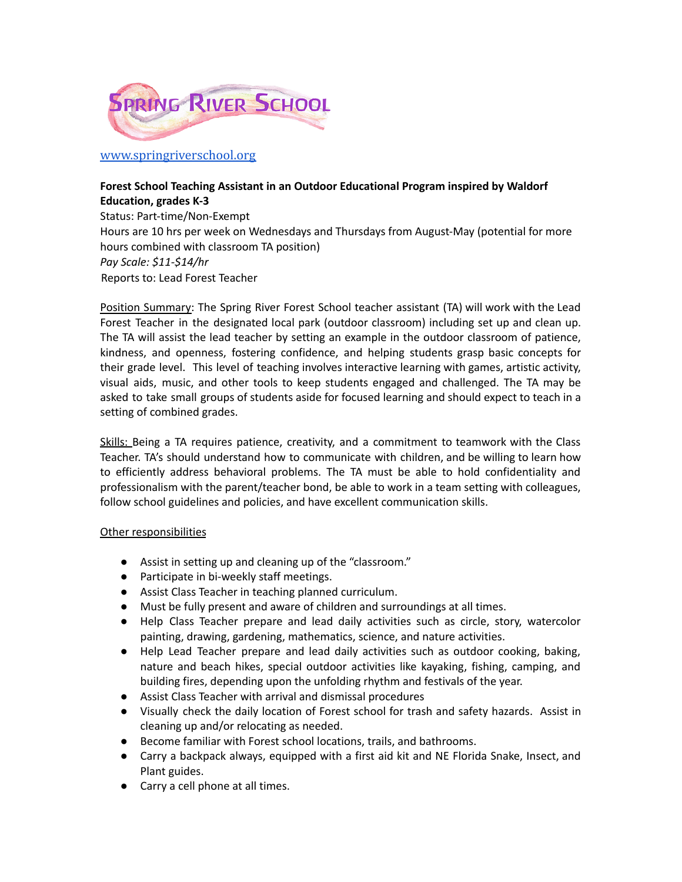

## [www.springriverschool.org](http://www.springriverschool.org)

# **Forest School Teaching Assistant in an Outdoor Educational Program inspired by Waldorf Education, grades K-3**

Status: Part-time/Non-Exempt Hours are 10 hrs per week on Wednesdays and Thursdays from August-May (potential for more hours combined with classroom TA position) *Pay Scale: \$11-\$14/hr* Reports to: Lead Forest Teacher

Position Summary: The Spring River Forest School teacher assistant (TA) will work with the Lead Forest Teacher in the designated local park (outdoor classroom) including set up and clean up. The TA will assist the lead teacher by setting an example in the outdoor classroom of patience, kindness, and openness, fostering confidence, and helping students grasp basic concepts for their grade level. This level of teaching involves interactive learning with games, artistic activity, visual aids, music, and other tools to keep students engaged and challenged. The TA may be asked to take small groups of students aside for focused learning and should expect to teach in a setting of combined grades.

Skills: Being a TA requires patience, creativity, and a commitment to teamwork with the Class Teacher. TA's should understand how to communicate with children, and be willing to learn how to efficiently address behavioral problems. The TA must be able to hold confidentiality and professionalism with the parent/teacher bond, be able to work in a team setting with colleagues, follow school guidelines and policies, and have excellent communication skills.

#### Other responsibilities

- Assist in setting up and cleaning up of the "classroom."
- Participate in bi-weekly staff meetings.
- Assist Class Teacher in teaching planned curriculum.
- Must be fully present and aware of children and surroundings at all times.
- Help Class Teacher prepare and lead daily activities such as circle, story, watercolor painting, drawing, gardening, mathematics, science, and nature activities.
- Help Lead Teacher prepare and lead daily activities such as outdoor cooking, baking, nature and beach hikes, special outdoor activities like kayaking, fishing, camping, and building fires, depending upon the unfolding rhythm and festivals of the year.
- Assist Class Teacher with arrival and dismissal procedures
- Visually check the daily location of Forest school for trash and safety hazards. Assist in cleaning up and/or relocating as needed.
- Become familiar with Forest school locations, trails, and bathrooms.
- Carry a backpack always, equipped with a first aid kit and NE Florida Snake, Insect, and Plant guides.
- Carry a cell phone at all times.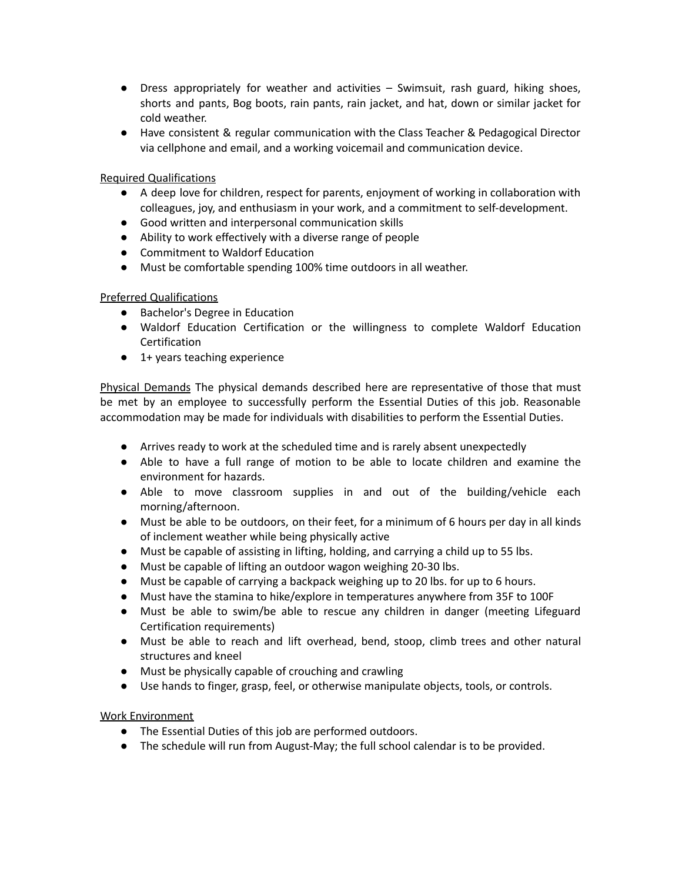- Dress appropriately for weather and activities Swimsuit, rash guard, hiking shoes, shorts and pants, Bog boots, rain pants, rain jacket, and hat, down or similar jacket for cold weather.
- Have consistent & regular communication with the Class Teacher & Pedagogical Director via cellphone and email, and a working voicemail and communication device.

## Required Qualifications

- A deep love for children, respect for parents, enjoyment of working in collaboration with colleagues, joy, and enthusiasm in your work, and a commitment to self-development.
- Good written and interpersonal communication skills
- Ability to work effectively with a diverse range of people
- Commitment to Waldorf Education
- Must be comfortable spending 100% time outdoors in all weather.

# Preferred Qualifications

- Bachelor's Degree in Education
- Waldorf Education Certification or the willingness to complete Waldorf Education Certification
- 1+ years teaching experience

Physical Demands The physical demands described here are representative of those that must be met by an employee to successfully perform the Essential Duties of this job. Reasonable accommodation may be made for individuals with disabilities to perform the Essential Duties.

- Arrives ready to work at the scheduled time and is rarely absent unexpectedly
- Able to have a full range of motion to be able to locate children and examine the environment for hazards.
- Able to move classroom supplies in and out of the building/vehicle each morning/afternoon.
- Must be able to be outdoors, on their feet, for a minimum of 6 hours per day in all kinds of inclement weather while being physically active
- Must be capable of assisting in lifting, holding, and carrying a child up to 55 lbs.
- Must be capable of lifting an outdoor wagon weighing 20-30 lbs.
- Must be capable of carrying a backpack weighing up to 20 lbs. for up to 6 hours.
- Must have the stamina to hike/explore in temperatures anywhere from 35F to 100F
- Must be able to swim/be able to rescue any children in danger (meeting Lifeguard Certification requirements)
- Must be able to reach and lift overhead, bend, stoop, climb trees and other natural structures and kneel
- Must be physically capable of crouching and crawling
- Use hands to finger, grasp, feel, or otherwise manipulate objects, tools, or controls.

#### Work Environment

- The Essential Duties of this job are performed outdoors.
- The schedule will run from August-May; the full school calendar is to be provided.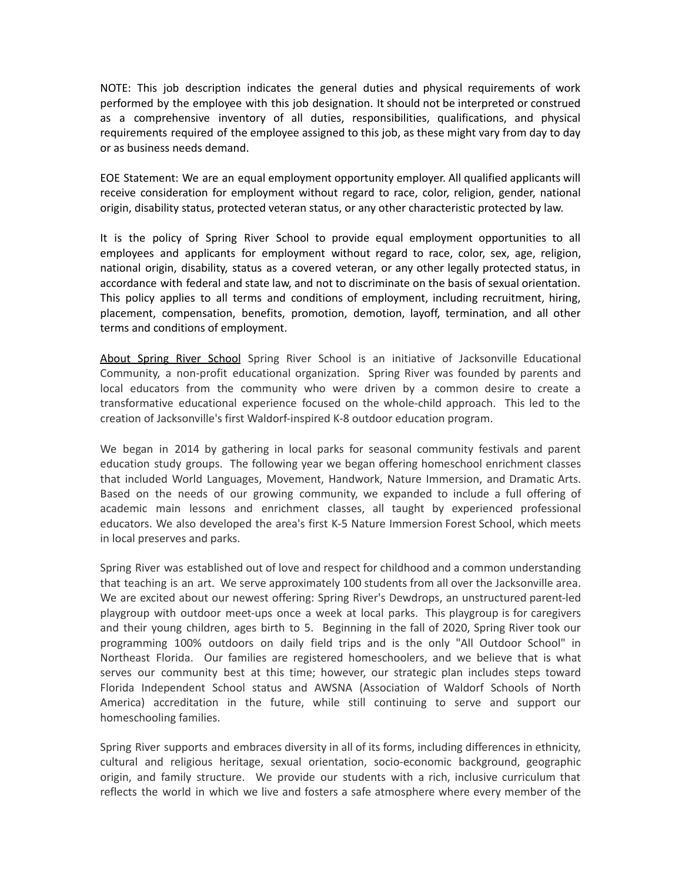NOTE: This job description indicates the general duties and physical requirements of work performed by the employee with this job designation. It should not be interpreted or construed as a comprehensive inventory of all duties, responsibilities, qualifications, and physical requirements required of the employee assigned to this job, as these might vary from day to day or as business needs demand.

EOE Statement: We are an equal employment opportunity employer. All qualified applicants will receive consideration for employment without regard to race, color, religion, gender, national origin, disability status, protected veteran status, or any other characteristic protected by law.

It is the policy of Spring River School to provide equal employment opportunities to all employees and applicants for employment without regard to race, color, sex, age, religion, national origin, disability, status as a covered veteran, or any other legally protected status, in accordance with federal and state law, and not to discriminate on the basis of sexual orientation. This policy applies to all terms and conditions of employment, including recruitment, hiring, placement, compensation, benefits, promotion, demotion, layoff, termination, and all other terms and conditions of employment.

About Spring River School Spring River School is an initiative of Jacksonville Educational Community, a non-profit educational organization. Spring River was founded by parents and local educators from the community who were driven by a common desire to create a transformative educational experience focused on the whole-child approach. This led to the creation of Jacksonville's first Waldorf-inspired K-8 outdoor education program.

We began in 2014 by gathering in local parks for seasonal community festivals and parent education study groups. The following year we began offering homeschool enrichment classes that included World Languages, Movement, Handwork, Nature Immersion, and Dramatic Arts. Based on the needs of our growing community, we expanded to include a full offering of academic main lessons and enrichment classes, all taught by experienced professional educators. We also developed the area's first K-5 Nature Immersion Forest School, which meets in local preserves and parks.

Spring River was established out of love and respect for childhood and a common understanding that teaching is an art. We serve approximately 100 students from all over the Jacksonville area. We are excited about our newest offering: Spring River's Dewdrops, an unstructured parent-led playgroup with outdoor meet-ups once a week at local parks. This playgroup is for caregivers and their young children, ages birth to 5. Beginning in the fall of 2020, Spring River took our programming 100% outdoors on daily field trips and is the only "All Outdoor School" in Northeast Florida. Our families are registered homeschoolers, and we believe that is what serves our community best at this time; however, our strategic plan includes steps toward Florida Independent School status and AWSNA (Association of Waldorf Schools of North America) accreditation in the future, while still continuing to serve and support our homeschooling families.

Spring River supports and embraces diversity in all of its forms, including differences in ethnicity, cultural and religious heritage, sexual orientation, socio-economic background, geographic origin, and family structure. We provide our students with a rich, inclusive curriculum that reflects the world in which we live and fosters a safe atmosphere where every member of the